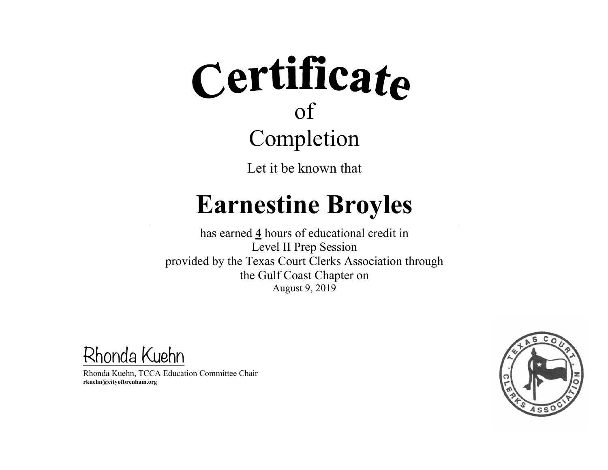Let it be known that

### **Earnestine Broyles**

 $\mathcal{L} = \{ \mathcal{L} = \{ \mathcal{L} = \{ \mathcal{L} = \{ \mathcal{L} = \{ \mathcal{L} = \{ \mathcal{L} = \{ \mathcal{L} = \{ \mathcal{L} = \{ \mathcal{L} = \{ \mathcal{L} = \{ \mathcal{L} = \{ \mathcal{L} = \{ \mathcal{L} = \{ \mathcal{L} = \{ \mathcal{L} = \{ \mathcal{L} = \{ \mathcal{L} = \{ \mathcal{L} = \{ \mathcal{L} = \{ \mathcal{L} = \{ \mathcal{L} = \{ \mathcal{L} = \{ \mathcal{L} = \{ \mathcal{$ 

has earned **4** hours of educational credit in Level II Prep Session provided by the Texas Court Clerks Association through the Gulf Coast Chapter on August 9, 2019

Rhonda Kuehn

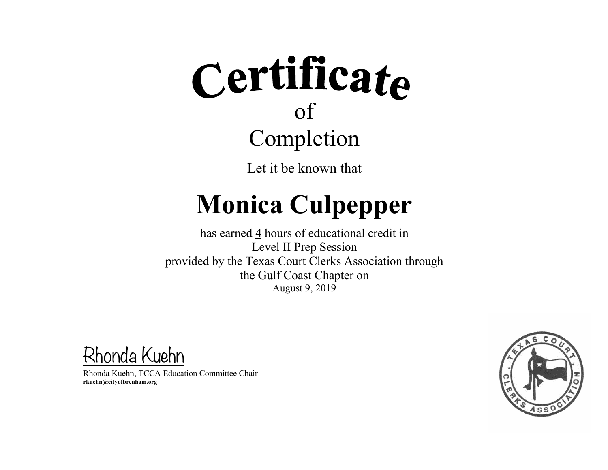Let it be known that

#### **Monica Culpepper**  $\mathcal{L} = \{ \mathcal{L} = \{ \mathcal{L} = \{ \mathcal{L} = \{ \mathcal{L} = \{ \mathcal{L} = \{ \mathcal{L} = \{ \mathcal{L} = \{ \mathcal{L} = \{ \mathcal{L} = \{ \mathcal{L} = \{ \mathcal{L} = \{ \mathcal{L} = \{ \mathcal{L} = \{ \mathcal{L} = \{ \mathcal{L} = \{ \mathcal{L} = \{ \mathcal{L} = \{ \mathcal{L} = \{ \mathcal{L} = \{ \mathcal{L} = \{ \mathcal{L} = \{ \mathcal{L} = \{ \mathcal{L} = \{ \mathcal{$

has earned **4** hours of educational credit in Level II Prep Session provided by the Texas Court Clerks Association through the Gulf Coast Chapter on August 9, 2019

Rhonda Kuehn

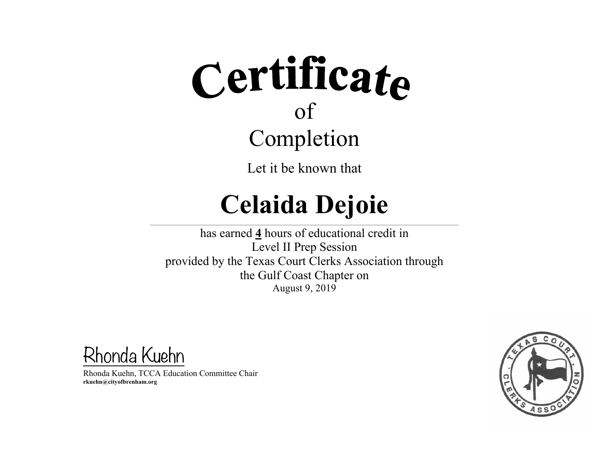Let it be known that

## **Celaida Dejoie**

 $\mathcal{L} = \{ \mathcal{L} = \{ \mathcal{L} = \{ \mathcal{L} = \{ \mathcal{L} = \{ \mathcal{L} = \{ \mathcal{L} = \{ \mathcal{L} = \{ \mathcal{L} = \{ \mathcal{L} = \{ \mathcal{L} = \{ \mathcal{L} = \{ \mathcal{L} = \{ \mathcal{L} = \{ \mathcal{L} = \{ \mathcal{L} = \{ \mathcal{L} = \{ \mathcal{L} = \{ \mathcal{L} = \{ \mathcal{L} = \{ \mathcal{L} = \{ \mathcal{L} = \{ \mathcal{L} = \{ \mathcal{L} = \{ \mathcal{$ 

has earned **4** hours of educational credit in Level II Prep Session provided by the Texas Court Clerks Association through the Gulf Coast Chapter on August 9, 2019

Rhonda Kuehn

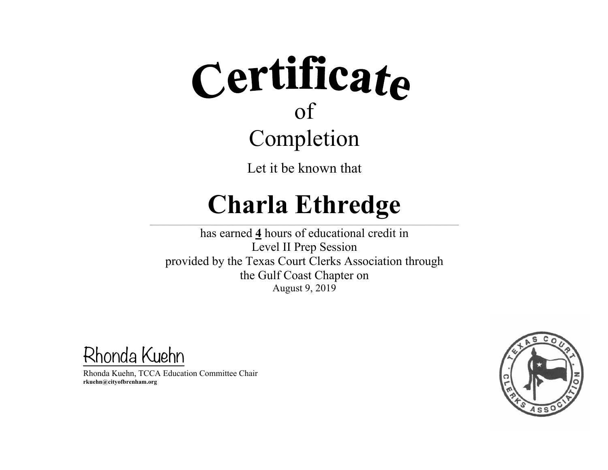Let it be known that

## **Charla Ethredge**

 $\mathcal{L} = \{ \mathcal{L} = \{ \mathcal{L} = \{ \mathcal{L} = \{ \mathcal{L} = \{ \mathcal{L} = \{ \mathcal{L} = \{ \mathcal{L} = \{ \mathcal{L} = \{ \mathcal{L} = \{ \mathcal{L} = \{ \mathcal{L} = \{ \mathcal{L} = \{ \mathcal{L} = \{ \mathcal{L} = \{ \mathcal{L} = \{ \mathcal{L} = \{ \mathcal{L} = \{ \mathcal{L} = \{ \mathcal{L} = \{ \mathcal{L} = \{ \mathcal{L} = \{ \mathcal{L} = \{ \mathcal{L} = \{ \mathcal{$ 

has earned **4** hours of educational credit in Level II Prep Session provided by the Texas Court Clerks Association through the Gulf Coast Chapter on August 9, 2019

Rhonda Kuehn